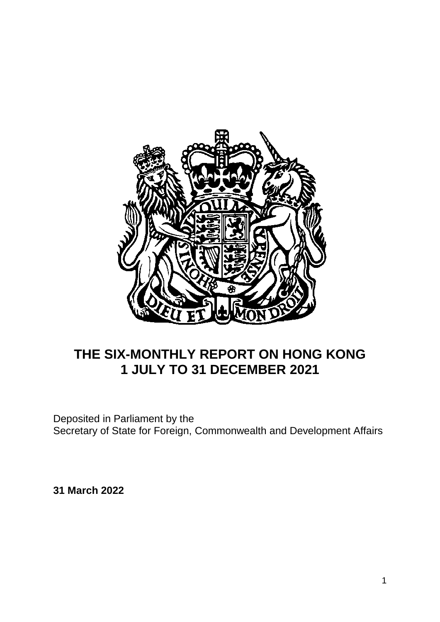

# **THE SIX-MONTHLY REPORT ON HONG KONG 1 JULY TO 31 DECEMBER 2021**

Deposited in Parliament by the Secretary of State for Foreign, Commonwealth and Development Affairs

**31 March 2022**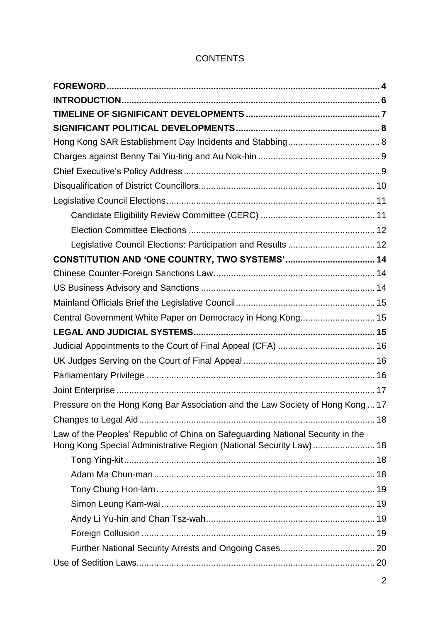# **CONTENTS**

| Legislative Council Elections: Participation and Results  12                   |  |
|--------------------------------------------------------------------------------|--|
|                                                                                |  |
|                                                                                |  |
|                                                                                |  |
|                                                                                |  |
| Central Government White Paper on Democracy in Hong Kong 15                    |  |
|                                                                                |  |
|                                                                                |  |
|                                                                                |  |
|                                                                                |  |
|                                                                                |  |
| Pressure on the Hong Kong Bar Association and the Law Society of Hong Kong  17 |  |
|                                                                                |  |
| Law of the Peoples' Republic of China on Safeguarding National Security in the |  |
| Hong Kong Special Administrative Region (National Security Law) 18             |  |
|                                                                                |  |
|                                                                                |  |
|                                                                                |  |
|                                                                                |  |
|                                                                                |  |
|                                                                                |  |
|                                                                                |  |
|                                                                                |  |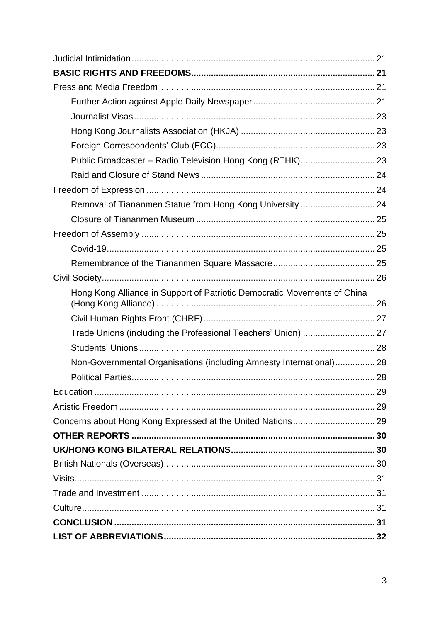| Public Broadcaster - Radio Television Hong Kong (RTHK) 23                |  |
|--------------------------------------------------------------------------|--|
|                                                                          |  |
|                                                                          |  |
| Removal of Tiananmen Statue from Hong Kong University  24                |  |
|                                                                          |  |
|                                                                          |  |
|                                                                          |  |
|                                                                          |  |
|                                                                          |  |
| Hong Kong Alliance in Support of Patriotic Democratic Movements of China |  |
|                                                                          |  |
|                                                                          |  |
| Trade Unions (including the Professional Teachers' Union)  27            |  |
|                                                                          |  |
| Non-Governmental Organisations (including Amnesty International) 28      |  |
|                                                                          |  |
|                                                                          |  |
|                                                                          |  |
|                                                                          |  |
|                                                                          |  |
|                                                                          |  |
|                                                                          |  |
|                                                                          |  |
|                                                                          |  |
|                                                                          |  |
|                                                                          |  |
|                                                                          |  |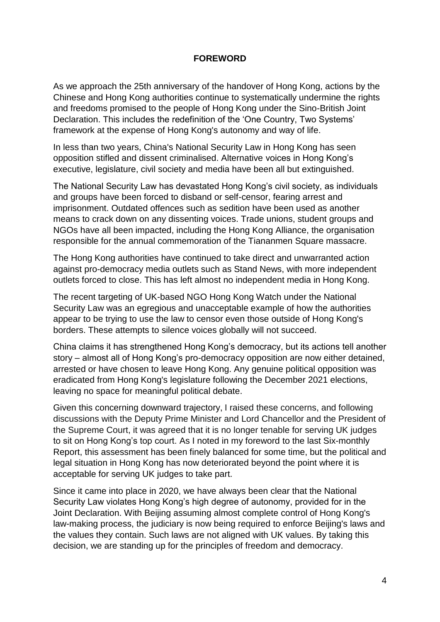#### **FOREWORD**

<span id="page-3-0"></span>As we approach the 25th anniversary of the handover of Hong Kong, actions by the Chinese and Hong Kong authorities continue to systematically undermine the rights and freedoms promised to the people of Hong Kong under the Sino-British Joint Declaration. This includes the redefinition of the 'One Country, Two Systems' framework at the expense of Hong Kong's autonomy and way of life.

In less than two years, China's National Security Law in Hong Kong has seen opposition stifled and dissent criminalised. Alternative voices in Hong Kong's executive, legislature, civil society and media have been all but extinguished.

The National Security Law has devastated Hong Kong's civil society, as individuals and groups have been forced to disband or self-censor, fearing arrest and imprisonment. Outdated offences such as sedition have been used as another means to crack down on any dissenting voices. Trade unions, student groups and NGOs have all been impacted, including the Hong Kong Alliance, the organisation responsible for the annual commemoration of the Tiananmen Square massacre.

The Hong Kong authorities have continued to take direct and unwarranted action against pro-democracy media outlets such as Stand News, with more independent outlets forced to close. This has left almost no independent media in Hong Kong.

The recent targeting of UK-based NGO Hong Kong Watch under the National Security Law was an egregious and unacceptable example of how the authorities appear to be trying to use the law to censor even those outside of Hong Kong's borders. These attempts to silence voices globally will not succeed.

China claims it has strengthened Hong Kong's democracy, but its actions tell another story – almost all of Hong Kong's pro-democracy opposition are now either detained, arrested or have chosen to leave Hong Kong. Any genuine political opposition was eradicated from Hong Kong's legislature following the December 2021 elections, leaving no space for meaningful political debate.

Given this concerning downward trajectory, I raised these concerns, and following discussions with the Deputy Prime Minister and Lord Chancellor and the President of the Supreme Court, it was agreed that it is no longer tenable for serving UK judges to sit on Hong Kong's top court. As I noted in my foreword to the last Six-monthly Report, this assessment has been finely balanced for some time, but the political and legal situation in Hong Kong has now deteriorated beyond the point where it is acceptable for serving UK judges to take part.

Since it came into place in 2020, we have always been clear that the National Security Law violates Hong Kong's high degree of autonomy, provided for in the Joint Declaration. With Beijing assuming almost complete control of Hong Kong's law-making process, the judiciary is now being required to enforce Beijing's laws and the values they contain. Such laws are not aligned with UK values. By taking this decision, we are standing up for the principles of freedom and democracy.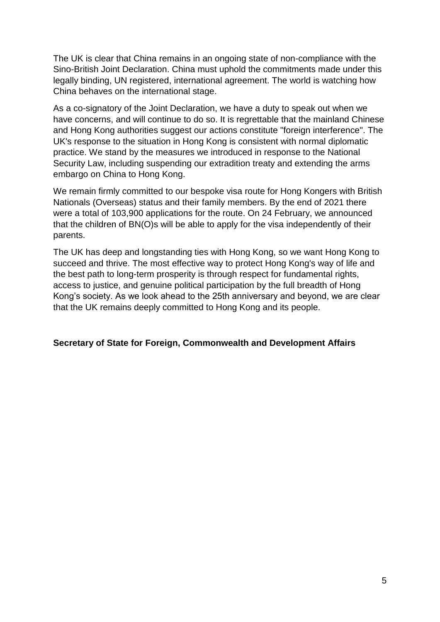The UK is clear that China remains in an ongoing state of non-compliance with the Sino-British Joint Declaration. China must uphold the commitments made under this legally binding, UN registered, international agreement. The world is watching how China behaves on the international stage.

As a co-signatory of the Joint Declaration, we have a duty to speak out when we have concerns, and will continue to do so. It is regrettable that the mainland Chinese and Hong Kong authorities suggest our actions constitute "foreign interference". The UK's response to the situation in Hong Kong is consistent with normal diplomatic practice. We stand by the measures we introduced in response to the National Security Law, including suspending our extradition treaty and extending the arms embargo on China to Hong Kong.

We remain firmly committed to our bespoke visa route for Hong Kongers with British Nationals (Overseas) status and their family members. By the end of 2021 there were a total of 103,900 applications for the route. On 24 February, we announced that the children of BN(O)s will be able to apply for the visa independently of their parents.

The UK has deep and longstanding ties with Hong Kong, so we want Hong Kong to succeed and thrive. The most effective way to protect Hong Kong's way of life and the best path to long-term prosperity is through respect for fundamental rights, access to justice, and genuine political participation by the full breadth of Hong Kong's society. As we look ahead to the 25th anniversary and beyond, we are clear that the UK remains deeply committed to Hong Kong and its people.

## **Secretary of State for Foreign, Commonwealth and Development Affairs**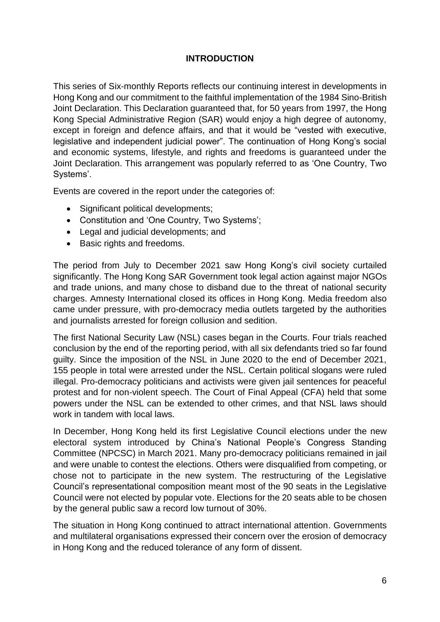# **INTRODUCTION**

<span id="page-5-0"></span>This series of Six-monthly Reports reflects our continuing interest in developments in Hong Kong and our commitment to the faithful implementation of the 1984 Sino-British Joint Declaration. This Declaration guaranteed that, for 50 years from 1997, the Hong Kong Special Administrative Region (SAR) would enjoy a high degree of autonomy, except in foreign and defence affairs, and that it would be "vested with executive, legislative and independent judicial power". The continuation of Hong Kong's social and economic systems, lifestyle, and rights and freedoms is guaranteed under the Joint Declaration. This arrangement was popularly referred to as 'One Country, Two Systems'.

Events are covered in the report under the categories of:

- Significant political developments:
- Constitution and 'One Country, Two Systems';
- Legal and judicial developments; and
- Basic rights and freedoms.

The period from July to December 2021 saw Hong Kong's civil society curtailed significantly. The Hong Kong SAR Government took legal action against major NGOs and trade unions, and many chose to disband due to the threat of national security charges. Amnesty International closed its offices in Hong Kong. Media freedom also came under pressure, with pro-democracy media outlets targeted by the authorities and journalists arrested for foreign collusion and sedition.

The first National Security Law (NSL) cases began in the Courts. Four trials reached conclusion by the end of the reporting period, with all six defendants tried so far found guilty. Since the imposition of the NSL in June 2020 to the end of December 2021, 155 people in total were arrested under the NSL. Certain political slogans were ruled illegal. Pro-democracy politicians and activists were given jail sentences for peaceful protest and for non-violent speech. The Court of Final Appeal (CFA) held that some powers under the NSL can be extended to other crimes, and that NSL laws should work in tandem with local laws.

In December, Hong Kong held its first Legislative Council elections under the new electoral system introduced by China's National People's Congress Standing Committee (NPCSC) in March 2021. Many pro-democracy politicians remained in jail and were unable to contest the elections. Others were disqualified from competing, or chose not to participate in the new system. The restructuring of the Legislative Council's representational composition meant most of the 90 seats in the Legislative Council were not elected by popular vote. Elections for the 20 seats able to be chosen by the general public saw a record low turnout of 30%.

The situation in Hong Kong continued to attract international attention. Governments and multilateral organisations expressed their concern over the erosion of democracy in Hong Kong and the reduced tolerance of any form of dissent.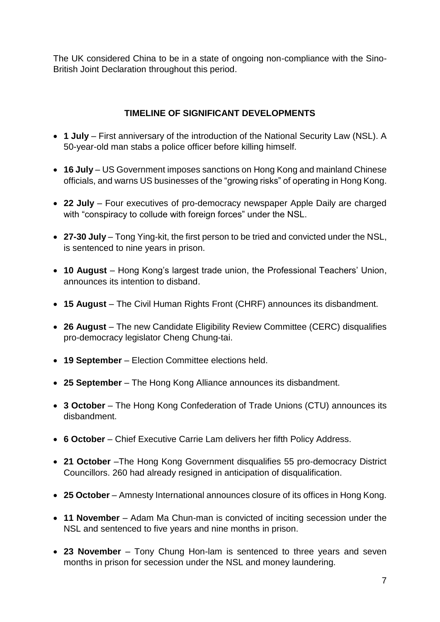The UK considered China to be in a state of ongoing non-compliance with the Sino-British Joint Declaration throughout this period.

# **TIMELINE OF SIGNIFICANT DEVELOPMENTS**

- <span id="page-6-0"></span> **1 July** – First anniversary of the introduction of the National Security Law (NSL). A 50-year-old man stabs a police officer before killing himself.
- **16 July**  US Government imposes sanctions on Hong Kong and mainland Chinese officials, and warns US businesses of the "growing risks" of operating in Hong Kong.
- **22 July**  Four executives of pro-democracy newspaper Apple Daily are charged with "conspiracy to collude with foreign forces" under the NSL.
- **27-30 July** Tong Ying-kit, the first person to be tried and convicted under the NSL, is sentenced to nine years in prison.
- **10 August** Hong Kong's largest trade union, the Professional Teachers' Union, announces its intention to disband.
- **15 August** The Civil Human Rights Front (CHRF) announces its disbandment.
- **26 August** The new Candidate Eligibility Review Committee (CERC) disqualifies pro-democracy legislator Cheng Chung-tai.
- **19 September** Election Committee elections held.
- **25 September** The Hong Kong Alliance announces its disbandment.
- **3 October**  The Hong Kong Confederation of Trade Unions (CTU) announces its disbandment.
- **6 October** Chief Executive Carrie Lam delivers her fifth Policy Address.
- **21 October** –The Hong Kong Government disqualifies 55 pro-democracy District Councillors. 260 had already resigned in anticipation of disqualification.
- **25 October**  Amnesty International announces closure of its offices in Hong Kong.
- **11 November**  Adam Ma Chun-man is convicted of inciting secession under the NSL and sentenced to five years and nine months in prison.
- **23 November** Tony Chung Hon-lam is sentenced to three years and seven months in prison for secession under the NSL and money laundering.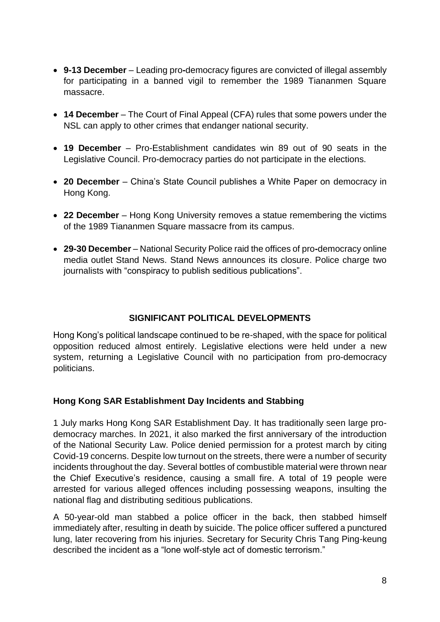- **9-13 December**  Leading pro**-**democracy figures are convicted of illegal assembly for participating in a banned vigil to remember the 1989 Tiananmen Square massacre.
- **14 December** The Court of Final Appeal (CFA) rules that some powers under the NSL can apply to other crimes that endanger national security.
- **19 December** Pro-Establishment candidates win 89 out of 90 seats in the Legislative Council. Pro-democracy parties do not participate in the elections.
- **20 December** China's State Council publishes a White Paper on democracy in Hong Kong.
- **22 December**  Hong Kong University removes a statue remembering the victims of the 1989 Tiananmen Square massacre from its campus.
- **29-30 December**  National Security Police raid the offices of pro**-**democracy online media outlet Stand News. Stand News announces its closure. Police charge two journalists with "conspiracy to publish seditious publications".

# **SIGNIFICANT POLITICAL DEVELOPMENTS**

<span id="page-7-0"></span>Hong Kong's political landscape continued to be re-shaped, with the space for political opposition reduced almost entirely. Legislative elections were held under a new system, returning a Legislative Council with no participation from pro-democracy politicians.

## <span id="page-7-1"></span>**Hong Kong SAR Establishment Day Incidents and Stabbing**

1 July marks Hong Kong SAR Establishment Day. It has traditionally seen large prodemocracy marches. In 2021, it also marked the first anniversary of the introduction of the National Security Law. Police denied permission for a protest march by citing Covid-19 concerns. Despite low turnout on the streets, there were a number of security incidents throughout the day. Several bottles of combustible material were thrown near the Chief Executive's residence, causing a small fire. A total of 19 people were arrested for various alleged offences including possessing weapons, insulting the national flag and distributing seditious publications.

A 50-year-old man stabbed a police officer in the back, then stabbed himself immediately after, resulting in death by suicide. The police officer suffered a punctured lung, later recovering from his injuries. Secretary for Security Chris Tang Ping-keung described the incident as a "lone wolf-style act of domestic terrorism."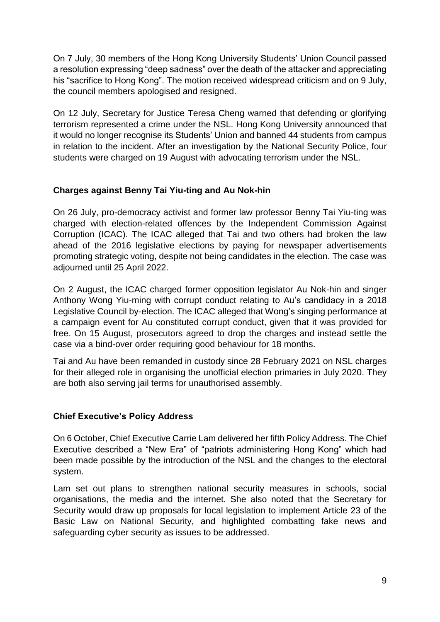On 7 July, 30 members of the Hong Kong University Students' Union Council passed a resolution expressing "deep sadness" over the death of the attacker and appreciating his "sacrifice to Hong Kong". The motion received widespread criticism and on 9 July, the council members apologised and resigned.

On 12 July, Secretary for Justice Teresa Cheng warned that defending or glorifying terrorism represented a crime under the NSL. Hong Kong University announced that it would no longer recognise its Students' Union and banned 44 students from campus in relation to the incident. After an investigation by the National Security Police, four students were charged on 19 August with advocating terrorism under the NSL.

# <span id="page-8-0"></span>**Charges against Benny Tai Yiu-ting and Au Nok-hin**

On 26 July, pro-democracy activist and former law professor Benny Tai Yiu-ting was charged with election-related offences by the Independent Commission Against Corruption (ICAC). The ICAC alleged that Tai and two others had broken the law ahead of the 2016 legislative elections by paying for newspaper advertisements promoting strategic voting, despite not being candidates in the election. The case was adjourned until 25 April 2022.

On 2 August, the ICAC charged former opposition legislator Au Nok-hin and singer Anthony Wong Yiu-ming with corrupt conduct relating to Au's candidacy in a 2018 Legislative Council by-election. The ICAC alleged that Wong's singing performance at a campaign event for Au constituted corrupt conduct, given that it was provided for free. On 15 August, prosecutors agreed to drop the charges and instead settle the case via a bind-over order requiring good behaviour for 18 months.

Tai and Au have been remanded in custody since 28 February 2021 on NSL charges for their alleged role in organising the unofficial election primaries in July 2020. They are both also serving jail terms for unauthorised assembly.

## <span id="page-8-1"></span>**Chief Executive's Policy Address**

On 6 October, Chief Executive Carrie Lam delivered her fifth Policy Address. The Chief Executive described a "New Era" of "patriots administering Hong Kong" which had been made possible by the introduction of the NSL and the changes to the electoral system.

Lam set out plans to strengthen national security measures in schools, social organisations, the media and the internet. She also noted that the Secretary for Security would draw up proposals for local legislation to implement Article 23 of the Basic Law on National Security, and highlighted combatting fake news and safeguarding cyber security as issues to be addressed.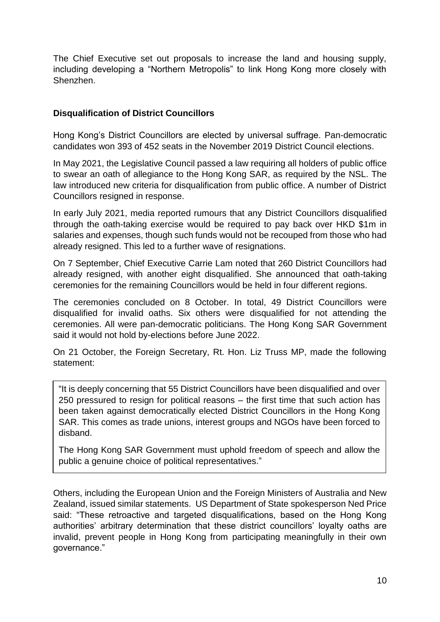The Chief Executive set out proposals to increase the land and housing supply, including developing a "Northern Metropolis" to link Hong Kong more closely with Shenzhen.

## <span id="page-9-0"></span>**Disqualification of District Councillors**

Hong Kong's District Councillors are elected by universal suffrage. Pan-democratic candidates won 393 of 452 seats in the November 2019 District Council elections.

In May 2021, the Legislative Council passed a law requiring all holders of public office to swear an oath of allegiance to the Hong Kong SAR, as required by the NSL. The law introduced new criteria for disqualification from public office. A number of District Councillors resigned in response.

In early July 2021, media reported rumours that any District Councillors disqualified through the oath-taking exercise would be required to pay back over HKD \$1m in salaries and expenses, though such funds would not be recouped from those who had already resigned. This led to a further wave of resignations.

On 7 September, Chief Executive Carrie Lam noted that 260 District Councillors had already resigned, with another eight disqualified. She announced that oath-taking ceremonies for the remaining Councillors would be held in four different regions.

The ceremonies concluded on 8 October. In total, 49 District Councillors were disqualified for invalid oaths. Six others were disqualified for not attending the ceremonies. All were pan-democratic politicians. The Hong Kong SAR Government said it would not hold by-elections before June 2022.

On 21 October, the Foreign Secretary, Rt. Hon. Liz Truss MP, made the following statement:

"It is deeply concerning that 55 District Councillors have been disqualified and over 250 pressured to resign for political reasons – the first time that such action has been taken against democratically elected District Councillors in the Hong Kong SAR. This comes as trade unions, interest groups and NGOs have been forced to disband.

The Hong Kong SAR Government must uphold freedom of speech and allow the public a genuine choice of political representatives."

Others, including the European Union and the Foreign Ministers of Australia and New Zealand, issued similar statements. US Department of State spokesperson Ned Price said: "These retroactive and targeted disqualifications, based on the Hong Kong authorities' arbitrary determination that these district councillors' loyalty oaths are invalid, prevent people in Hong Kong from participating meaningfully in their own governance."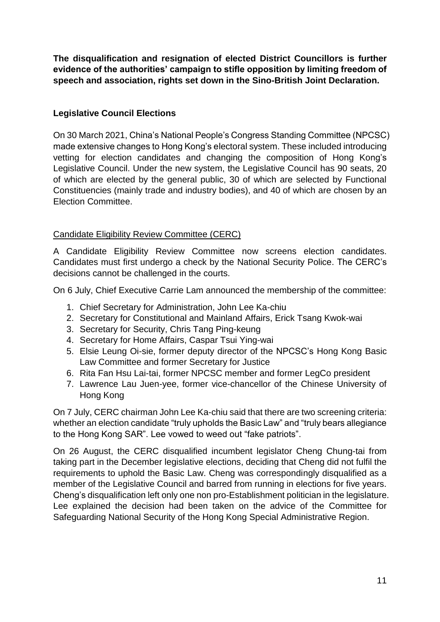**The disqualification and resignation of elected District Councillors is further evidence of the authorities' campaign to stifle opposition by limiting freedom of speech and association, rights set down in the Sino-British Joint Declaration.** 

# <span id="page-10-0"></span>**Legislative Council Elections**

On 30 March 2021, China's National People's Congress Standing Committee (NPCSC) made extensive changes to Hong Kong's electoral system. These included introducing vetting for election candidates and changing the composition of Hong Kong's Legislative Council. Under the new system, the Legislative Council has 90 seats, 20 of which are elected by the general public, 30 of which are selected by Functional Constituencies (mainly trade and industry bodies), and 40 of which are chosen by an Election Committee.

# <span id="page-10-1"></span>Candidate Eligibility Review Committee (CERC)

A Candidate Eligibility Review Committee now screens election candidates. Candidates must first undergo a check by the National Security Police. The CERC's decisions cannot be challenged in the courts.

On 6 July, Chief Executive Carrie Lam announced the membership of the committee:

- 1. Chief Secretary for Administration, John Lee Ka-chiu
- 2. Secretary for Constitutional and Mainland Affairs, Erick Tsang Kwok-wai
- 3. Secretary for Security, Chris Tang Ping-keung
- 4. Secretary for Home Affairs, Caspar Tsui Ying-wai
- 5. Elsie Leung Oi-sie, former deputy director of the NPCSC's Hong Kong Basic Law Committee and former Secretary for Justice
- 6. Rita Fan Hsu Lai-tai, former NPCSC member and former LegCo president
- 7. Lawrence Lau Juen-yee, former vice-chancellor of the Chinese University of Hong Kong

On 7 July, CERC chairman John Lee Ka-chiu said that there are two screening criteria: whether an election candidate "truly upholds the Basic Law" and "truly bears allegiance to the Hong Kong SAR". Lee vowed to weed out "fake patriots".

On 26 August, the CERC disqualified incumbent legislator Cheng Chung-tai from taking part in the December legislative elections, deciding that Cheng did not fulfil the requirements to uphold the Basic Law. Cheng was correspondingly disqualified as a member of the Legislative Council and barred from running in elections for five years. Cheng's disqualification left only one non pro-Establishment politician in the legislature. Lee explained the decision had been taken on the advice of the Committee for Safeguarding National Security of the Hong Kong Special Administrative Region.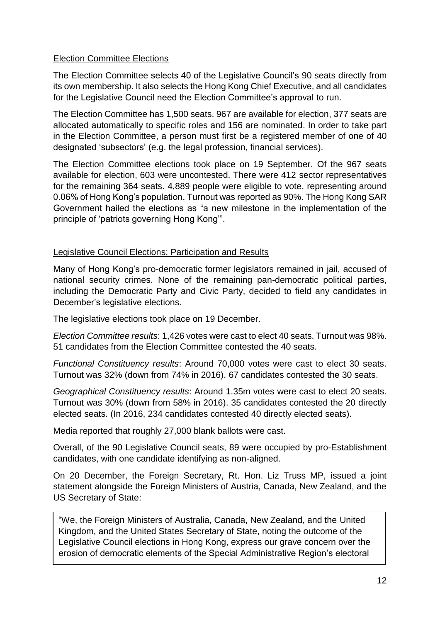#### <span id="page-11-0"></span>Election Committee Elections

The Election Committee selects 40 of the Legislative Council's 90 seats directly from its own membership. It also selects the Hong Kong Chief Executive, and all candidates for the Legislative Council need the Election Committee's approval to run.

The Election Committee has 1,500 seats. 967 are available for election, 377 seats are allocated automatically to specific roles and 156 are nominated. In order to take part in the Election Committee, a person must first be a registered member of one of 40 designated 'subsectors' (e.g. the legal profession, financial services).

The Election Committee elections took place on 19 September. Of the 967 seats available for election, 603 were uncontested. There were 412 sector representatives for the remaining 364 seats. 4,889 people were eligible to vote, representing around 0.06% of Hong Kong's population. Turnout was reported as 90%. The Hong Kong SAR Government hailed the elections as "a new milestone in the implementation of the principle of 'patriots governing Hong Kong'".

#### <span id="page-11-1"></span>Legislative Council Elections: Participation and Results

Many of Hong Kong's pro-democratic former legislators remained in jail, accused of national security crimes. None of the remaining pan-democratic political parties, including the Democratic Party and Civic Party, decided to field any candidates in December's legislative elections.

The legislative elections took place on 19 December.

*Election Committee results*: 1,426 votes were cast to elect 40 seats. Turnout was 98%. 51 candidates from the Election Committee contested the 40 seats.

*Functional Constituency results*: Around 70,000 votes were cast to elect 30 seats. Turnout was 32% (down from 74% in 2016). 67 candidates contested the 30 seats.

*Geographical Constituency results*: Around 1.35m votes were cast to elect 20 seats. Turnout was 30% (down from 58% in 2016). 35 candidates contested the 20 directly elected seats. (In 2016, 234 candidates contested 40 directly elected seats).

Media reported that roughly 27,000 blank ballots were cast.

Overall, of the 90 Legislative Council seats, 89 were occupied by pro-Establishment candidates, with one candidate identifying as non-aligned.

On 20 December, the Foreign Secretary, Rt. Hon. Liz Truss MP, issued a joint statement alongside the Foreign Ministers of Austria, Canada, New Zealand, and the US Secretary of State:

"We, the Foreign Ministers of Australia, Canada, New Zealand, and the United Kingdom, and the United States Secretary of State, noting the outcome of the Legislative Council elections in Hong Kong, express our grave concern over the erosion of democratic elements of the Special Administrative Region's electoral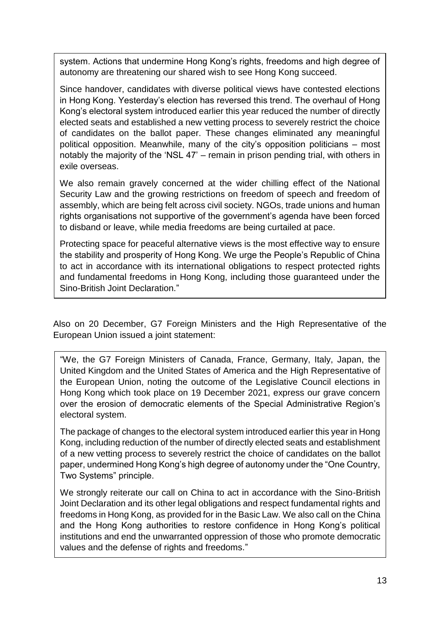system. Actions that undermine Hong Kong's rights, freedoms and high degree of autonomy are threatening our shared wish to see Hong Kong succeed.

Since handover, candidates with diverse political views have contested elections in Hong Kong. Yesterday's election has reversed this trend. The overhaul of Hong Kong's electoral system introduced earlier this year reduced the number of directly elected seats and established a new vetting process to severely restrict the choice of candidates on the ballot paper. These changes eliminated any meaningful political opposition. Meanwhile, many of the city's opposition politicians – most notably the majority of the 'NSL 47' – remain in prison pending trial, with others in exile overseas.

We also remain gravely concerned at the wider chilling effect of the National Security Law and the growing restrictions on freedom of speech and freedom of assembly, which are being felt across civil society. NGOs, trade unions and human rights organisations not supportive of the government's agenda have been forced to disband or leave, while media freedoms are being curtailed at pace.

Protecting space for peaceful alternative views is the most effective way to ensure the stability and prosperity of Hong Kong. We urge the People's Republic of China to act in accordance with its international obligations to respect protected rights and fundamental freedoms in Hong Kong, including those guaranteed under the Sino-British Joint Declaration."

Also on 20 December, G7 Foreign Ministers and the High Representative of the European Union issued a joint statement:

"We, the G7 Foreign Ministers of Canada, France, Germany, Italy, Japan, the United Kingdom and the United States of America and the High Representative of the European Union, noting the outcome of the Legislative Council elections in Hong Kong which took place on 19 December 2021, express our grave concern over the erosion of democratic elements of the Special Administrative Region's electoral system.

The package of changes to the electoral system introduced earlier this year in Hong Kong, including reduction of the number of directly elected seats and establishment of a new vetting process to severely restrict the choice of candidates on the ballot paper, undermined Hong Kong's high degree of autonomy under the "One Country, Two Systems" principle.

We strongly reiterate our call on China to act in accordance with the Sino-British Joint Declaration and its other legal obligations and respect fundamental rights and freedoms in Hong Kong, as provided for in the Basic Law. We also call on the China and the Hong Kong authorities to restore confidence in Hong Kong's political institutions and end the unwarranted oppression of those who promote democratic values and the defense of rights and freedoms."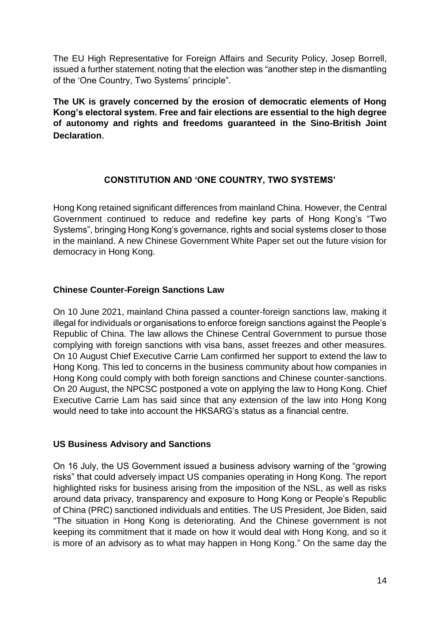The EU High Representative for Foreign Affairs and Security Policy, Josep Borrell, issued a further statement, noting that the election was "another step in the dismantling of the 'One Country, Two Systems' principle".

**The UK is gravely concerned by the erosion of democratic elements of Hong Kong's electoral system. Free and fair elections are essential to the high degree of autonomy and rights and freedoms guaranteed in the Sino-British Joint Declaration**.

# **CONSTITUTION AND 'ONE COUNTRY, TWO SYSTEMS'**

<span id="page-13-0"></span>Hong Kong retained significant differences from mainland China. However, the Central Government continued to reduce and redefine key parts of Hong Kong's "Two Systems", bringing Hong Kong's governance, rights and social systems closer to those in the mainland. A new Chinese Government White Paper set out the future vision for democracy in Hong Kong.

## <span id="page-13-1"></span>**Chinese Counter-Foreign Sanctions Law**

On 10 June 2021, mainland China passed a counter-foreign sanctions law, making it illegal for individuals or organisations to enforce foreign sanctions against the People's Republic of China. The law allows the Chinese Central Government to pursue those complying with foreign sanctions with visa bans, asset freezes and other measures. On 10 August Chief Executive Carrie Lam confirmed her support to extend the law to Hong Kong. This led to concerns in the business community about how companies in Hong Kong could comply with both foreign sanctions and Chinese counter-sanctions. On 20 August, the NPCSC postponed a vote on applying the law to Hong Kong. Chief Executive Carrie Lam has said since that any extension of the law into Hong Kong would need to take into account the HKSARG's status as a financial centre.

## <span id="page-13-2"></span>**US Business Advisory and Sanctions**

On 16 July, the US Government issued a business advisory warning of the "growing risks" that could adversely impact US companies operating in Hong Kong. The report highlighted risks for business arising from the imposition of the NSL, as well as risks around data privacy, transparency and exposure to Hong Kong or People's Republic of China (PRC) sanctioned individuals and entities. The US President, Joe Biden, said "The situation in Hong Kong is deteriorating. And the Chinese government is not keeping its commitment that it made on how it would deal with Hong Kong, and so it is more of an advisory as to what may happen in Hong Kong." On the same day the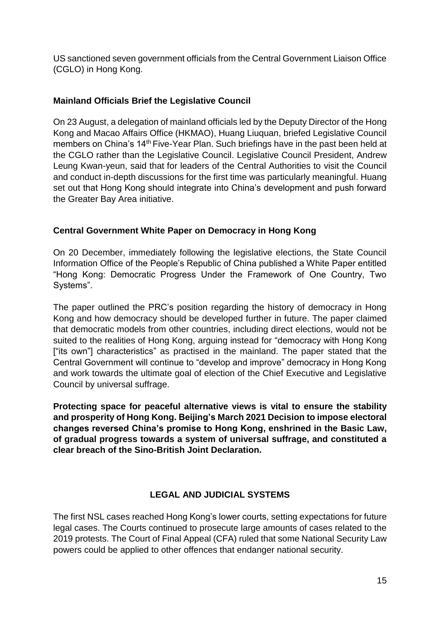US sanctioned seven government officials from the Central Government Liaison Office (CGLO) in Hong Kong.

# <span id="page-14-0"></span>**Mainland Officials Brief the Legislative Council**

On 23 August, a delegation of mainland officials led by the Deputy Director of the Hong Kong and Macao Affairs Office (HKMAO), Huang Liuquan, briefed Legislative Council members on China's 14<sup>th</sup> Five-Year Plan. Such briefings have in the past been held at the CGLO rather than the Legislative Council. Legislative Council President, Andrew Leung Kwan-yeun, said that for leaders of the Central Authorities to visit the Council and conduct in-depth discussions for the first time was particularly meaningful. Huang set out that Hong Kong should integrate into China's development and push forward the Greater Bay Area initiative.

# <span id="page-14-1"></span>**Central Government White Paper on Democracy in Hong Kong**

On 20 December, immediately following the legislative elections, the State Council Information Office of the People's Republic of China published a White Paper entitled "Hong Kong: Democratic Progress Under the Framework of One Country, Two Systems".

The paper outlined the PRC's position regarding the history of democracy in Hong Kong and how democracy should be developed further in future. The paper claimed that democratic models from other countries, including direct elections, would not be suited to the realities of Hong Kong, arguing instead for "democracy with Hong Kong ["its own"] characteristics" as practised in the mainland. The paper stated that the Central Government will continue to "develop and improve" democracy in Hong Kong and work towards the ultimate goal of election of the Chief Executive and Legislative Council by universal suffrage.

**Protecting space for peaceful alternative views is vital to ensure the stability and prosperity of Hong Kong. Beijing's March 2021 Decision to impose electoral changes reversed China's promise to Hong Kong, enshrined in the Basic Law, of gradual progress towards a system of universal suffrage, and constituted a clear breach of the Sino-British Joint Declaration.**

## **LEGAL AND JUDICIAL SYSTEMS**

<span id="page-14-2"></span>The first NSL cases reached Hong Kong's lower courts, setting expectations for future legal cases. The Courts continued to prosecute large amounts of cases related to the 2019 protests. The Court of Final Appeal (CFA) ruled that some National Security Law powers could be applied to other offences that endanger national security.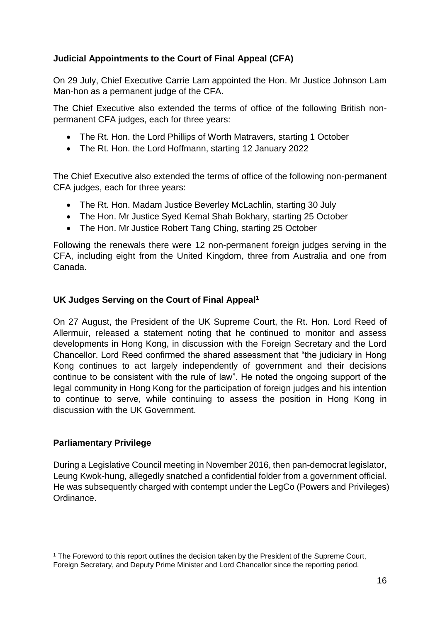# <span id="page-15-0"></span>**Judicial Appointments to the Court of Final Appeal (CFA)**

On 29 July, Chief Executive Carrie Lam appointed the Hon. Mr Justice Johnson Lam Man-hon as a permanent judge of the CFA.

The Chief Executive also extended the terms of office of the following British nonpermanent CFA judges, each for three years:

- The Rt. Hon. the Lord Phillips of Worth Matravers, starting 1 October
- The Rt. Hon. the Lord Hoffmann, starting 12 January 2022

The Chief Executive also extended the terms of office of the following non-permanent CFA judges, each for three years:

- The Rt. Hon. Madam Justice Beverley McLachlin, starting 30 July
- The Hon. Mr Justice Sved Kemal Shah Bokhary, starting 25 October
- The Hon. Mr Justice Robert Tang Ching, starting 25 October

Following the renewals there were 12 non-permanent foreign judges serving in the CFA, including eight from the United Kingdom, three from Australia and one from Canada.

## <span id="page-15-1"></span>**UK Judges Serving on the Court of Final Appeal<sup>1</sup>**

On 27 August, the President of the UK Supreme Court, the Rt. Hon. Lord Reed of Allermuir, released a statement noting that he continued to monitor and assess developments in Hong Kong, in discussion with the Foreign Secretary and the Lord Chancellor. Lord Reed confirmed the shared assessment that "the judiciary in Hong Kong continues to act largely independently of government and their decisions continue to be consistent with the rule of law". He noted the ongoing support of the legal community in Hong Kong for the participation of foreign judges and his intention to continue to serve, while continuing to assess the position in Hong Kong in discussion with the UK Government.

## <span id="page-15-2"></span>**Parliamentary Privilege**

During a Legislative Council meeting in November 2016, then pan-democrat legislator, Leung Kwok-hung, allegedly snatched a confidential folder from a government official. He was subsequently charged with contempt under the LegCo (Powers and Privileges) Ordinance.

<sup>1</sup> <sup>1</sup> The Foreword to this report outlines the decision taken by the President of the Supreme Court, Foreign Secretary, and Deputy Prime Minister and Lord Chancellor since the reporting period.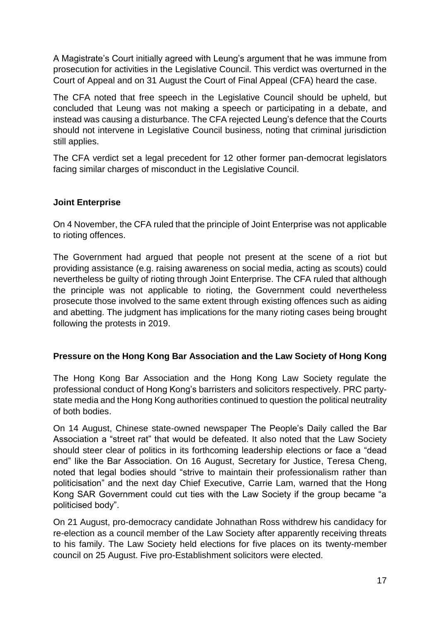A Magistrate's Court initially agreed with Leung's argument that he was immune from prosecution for activities in the Legislative Council. This verdict was overturned in the Court of Appeal and on 31 August the Court of Final Appeal (CFA) heard the case.

The CFA noted that free speech in the Legislative Council should be upheld, but concluded that Leung was not making a speech or participating in a debate, and instead was causing a disturbance. The CFA rejected Leung's defence that the Courts should not intervene in Legislative Council business, noting that criminal jurisdiction still applies.

The CFA verdict set a legal precedent for 12 other former pan-democrat legislators facing similar charges of misconduct in the Legislative Council.

## <span id="page-16-0"></span>**Joint Enterprise**

On 4 November, the CFA ruled that the principle of Joint Enterprise was not applicable to rioting offences.

The Government had argued that people not present at the scene of a riot but providing assistance (e.g. raising awareness on social media, acting as scouts) could nevertheless be guilty of rioting through Joint Enterprise. The CFA ruled that although the principle was not applicable to rioting, the Government could nevertheless prosecute those involved to the same extent through existing offences such as aiding and abetting. The judgment has implications for the many rioting cases being brought following the protests in 2019.

## <span id="page-16-1"></span>**Pressure on the Hong Kong Bar Association and the Law Society of Hong Kong**

The Hong Kong Bar Association and the Hong Kong Law Society regulate the professional conduct of Hong Kong's barristers and solicitors respectively. PRC partystate media and the Hong Kong authorities continued to question the political neutrality of both bodies.

On 14 August, Chinese state-owned newspaper The People's Daily called the Bar Association a "street rat" that would be defeated. It also noted that the Law Society should steer clear of politics in its forthcoming leadership elections or face a "dead end" like the Bar Association. On 16 August, Secretary for Justice, Teresa Cheng, noted that legal bodies should "strive to maintain their professionalism rather than politicisation" and the next day Chief Executive, Carrie Lam, warned that the Hong Kong SAR Government could cut ties with the Law Society if the group became "a politicised body".

On 21 August, pro-democracy candidate Johnathan Ross withdrew his candidacy for re-election as a council member of the Law Society after apparently receiving threats to his family. The Law Society held elections for five places on its twenty-member council on 25 August. Five pro-Establishment solicitors were elected.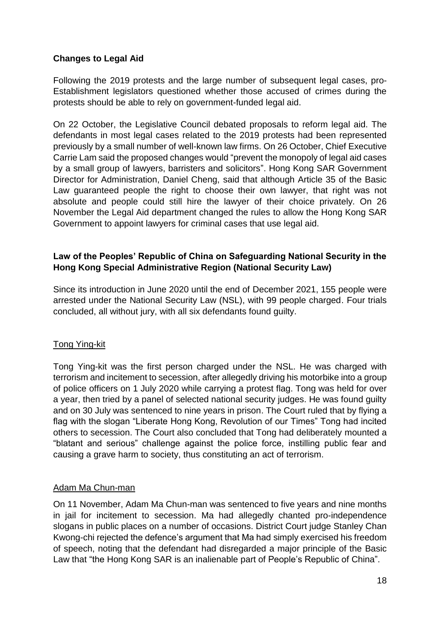# <span id="page-17-0"></span>**Changes to Legal Aid**

Following the 2019 protests and the large number of subsequent legal cases, pro-Establishment legislators questioned whether those accused of crimes during the protests should be able to rely on government-funded legal aid.

On 22 October, the Legislative Council debated proposals to reform legal aid. The defendants in most legal cases related to the 2019 protests had been represented previously by a small number of well-known law firms. On 26 October, Chief Executive Carrie Lam said the proposed changes would "prevent the monopoly of legal aid cases by a small group of lawyers, barristers and solicitors". Hong Kong SAR Government Director for Administration, Daniel Cheng, said that although Article 35 of the Basic Law guaranteed people the right to choose their own lawyer, that right was not absolute and people could still hire the lawyer of their choice privately. On 26 November the Legal Aid department changed the rules to allow the Hong Kong SAR Government to appoint lawyers for criminal cases that use legal aid.

#### <span id="page-17-1"></span>**Law of the Peoples' Republic of China on Safeguarding National Security in the Hong Kong Special Administrative Region (National Security Law)**

Since its introduction in June 2020 until the end of December 2021, 155 people were arrested under the National Security Law (NSL), with 99 people charged. Four trials concluded, all without jury, with all six defendants found guilty.

## <span id="page-17-2"></span>Tong Ying-kit

Tong Ying-kit was the first person charged under the NSL. He was charged with terrorism and incitement to secession, after allegedly driving his motorbike into a group of police officers on 1 July 2020 while carrying a protest flag. Tong was held for over a year, then tried by a panel of selected national security judges. He was found guilty and on 30 July was sentenced to nine years in prison. The Court ruled that by flying a flag with the slogan "Liberate Hong Kong, Revolution of our Times" Tong had incited others to secession. The Court also concluded that Tong had deliberately mounted a "blatant and serious" challenge against the police force, instilling public fear and causing a grave harm to society, thus constituting an act of terrorism.

## <span id="page-17-3"></span>Adam Ma Chun-man

On 11 November, Adam Ma Chun-man was sentenced to five years and nine months in jail for incitement to secession. Ma had allegedly chanted pro-independence slogans in public places on a number of occasions. District Court judge Stanley Chan Kwong-chi rejected the defence's argument that Ma had simply exercised his freedom of speech, noting that the defendant had disregarded a major principle of the Basic Law that "the Hong Kong SAR is an inalienable part of People's Republic of China".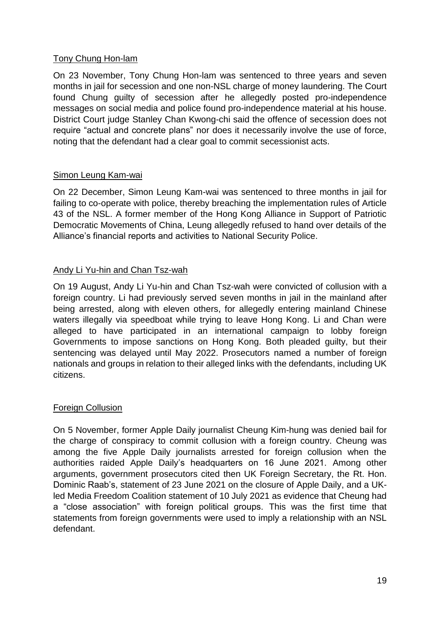## <span id="page-18-0"></span>Tony Chung Hon-lam

On 23 November, Tony Chung Hon-lam was sentenced to three years and seven months in jail for secession and one non-NSL charge of money laundering. The Court found Chung guilty of secession after he allegedly posted pro-independence messages on social media and police found pro-independence material at his house. District Court judge Stanley Chan Kwong-chi said the offence of secession does not require "actual and concrete plans" nor does it necessarily involve the use of force, noting that the defendant had a clear goal to commit secessionist acts.

## <span id="page-18-1"></span>Simon Leung Kam-wai

On 22 December, Simon Leung Kam-wai was sentenced to three months in jail for failing to co-operate with police, thereby breaching the implementation rules of Article 43 of the NSL. A former member of the Hong Kong Alliance in Support of Patriotic Democratic Movements of China, Leung allegedly refused to hand over details of the Alliance's financial reports and activities to National Security Police.

# <span id="page-18-2"></span>Andy Li Yu-hin and Chan Tsz-wah

On 19 August, Andy Li Yu-hin and Chan Tsz-wah were convicted of collusion with a foreign country. Li had previously served seven months in jail in the mainland after being arrested, along with eleven others, for allegedly entering mainland Chinese waters illegally via speedboat while trying to leave Hong Kong. Li and Chan were alleged to have participated in an international campaign to lobby foreign Governments to impose sanctions on Hong Kong. Both pleaded guilty, but their sentencing was delayed until May 2022. Prosecutors named a number of foreign nationals and groups in relation to their alleged links with the defendants, including UK citizens.

## <span id="page-18-3"></span>Foreign Collusion

On 5 November, former Apple Daily journalist Cheung Kim-hung was denied bail for the charge of conspiracy to commit collusion with a foreign country. Cheung was among the five Apple Daily journalists arrested for foreign collusion when the authorities raided Apple Daily's headquarters on 16 June 2021. Among other arguments, government prosecutors cited then UK Foreign Secretary, the Rt. Hon. Dominic Raab's, statement of 23 June 2021 on the closure of Apple Daily, and a UKled Media Freedom Coalition statement of 10 July 2021 as evidence that Cheung had a "close association" with foreign political groups. This was the first time that statements from foreign governments were used to imply a relationship with an NSL defendant.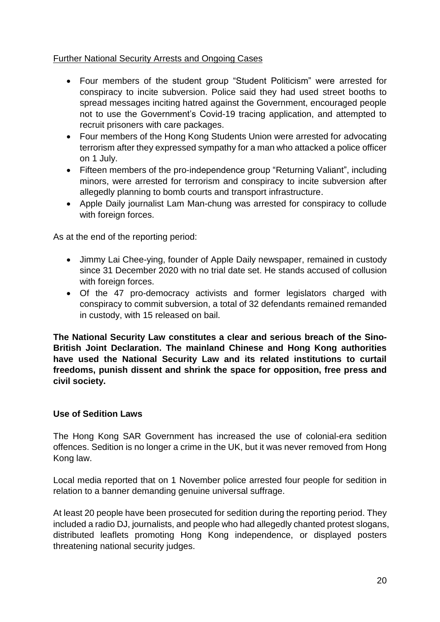## <span id="page-19-0"></span>Further National Security Arrests and Ongoing Cases

- Four members of the student group "Student Politicism" were arrested for conspiracy to incite subversion. Police said they had used street booths to spread messages inciting hatred against the Government, encouraged people not to use the Government's Covid-19 tracing application, and attempted to recruit prisoners with care packages.
- Four members of the Hong Kong Students Union were arrested for advocating terrorism after they expressed sympathy for a man who attacked a police officer on 1 July.
- Fifteen members of the pro-independence group "Returning Valiant", including minors, were arrested for terrorism and conspiracy to incite subversion after allegedly planning to bomb courts and transport infrastructure.
- Apple Daily journalist Lam Man-chung was arrested for conspiracy to collude with foreign forces.

As at the end of the reporting period:

- Jimmy Lai Chee-ying, founder of Apple Daily newspaper, remained in custody since 31 December 2020 with no trial date set. He stands accused of collusion with foreign forces.
- Of the 47 pro-democracy activists and former legislators charged with conspiracy to commit subversion, a total of 32 defendants remained remanded in custody, with 15 released on bail.

**The National Security Law constitutes a clear and serious breach of the Sino-British Joint Declaration. The mainland Chinese and Hong Kong authorities have used the National Security Law and its related institutions to curtail freedoms, punish dissent and shrink the space for opposition, free press and civil society.**

## <span id="page-19-1"></span>**Use of Sedition Laws**

The Hong Kong SAR Government has increased the use of colonial-era sedition offences. Sedition is no longer a crime in the UK, but it was never removed from Hong Kong law.

Local media reported that on 1 November police arrested four people for sedition in relation to a banner demanding genuine universal suffrage.

At least 20 people have been prosecuted for sedition during the reporting period. They included a radio DJ, journalists, and people who had allegedly chanted protest slogans, distributed leaflets promoting Hong Kong independence, or displayed posters threatening national security judges.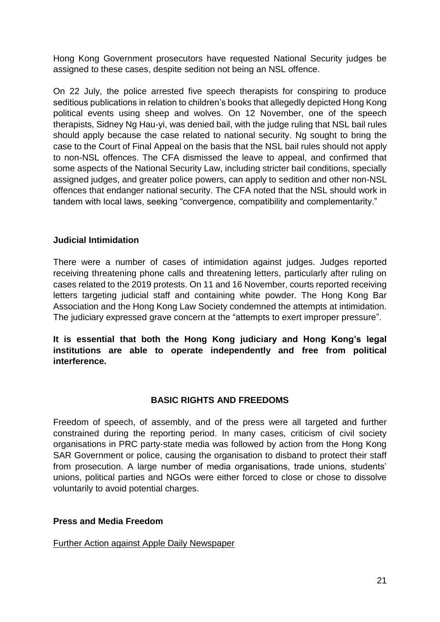Hong Kong Government prosecutors have requested National Security judges be assigned to these cases, despite sedition not being an NSL offence.

On 22 July, the police arrested five speech therapists for conspiring to produce seditious publications in relation to children's books that allegedly depicted Hong Kong political events using sheep and wolves. On 12 November, one of the speech therapists, Sidney Ng Hau-yi, was denied bail, with the judge ruling that NSL bail rules should apply because the case related to national security. Ng sought to bring the case to the Court of Final Appeal on the basis that the NSL bail rules should not apply to non-NSL offences. The CFA dismissed the leave to appeal, and confirmed that some aspects of the National Security Law, including stricter bail conditions, specially assigned judges, and greater police powers, can apply to sedition and other non-NSL offences that endanger national security. The CFA noted that the NSL should work in tandem with local laws, seeking "convergence, compatibility and complementarity."

#### <span id="page-20-0"></span>**Judicial Intimidation**

There were a number of cases of intimidation against judges. Judges reported receiving threatening phone calls and threatening letters, particularly after ruling on cases related to the 2019 protests. On 11 and 16 November, courts reported receiving letters targeting judicial staff and containing white powder. The Hong Kong Bar Association and the Hong Kong Law Society condemned the attempts at intimidation. The judiciary expressed grave concern at the "attempts to exert improper pressure".

**It is essential that both the Hong Kong judiciary and Hong Kong's legal institutions are able to operate independently and free from political interference.** 

## **BASIC RIGHTS AND FREEDOMS**

<span id="page-20-1"></span>Freedom of speech, of assembly, and of the press were all targeted and further constrained during the reporting period. In many cases, criticism of civil society organisations in PRC party-state media was followed by action from the Hong Kong SAR Government or police, causing the organisation to disband to protect their staff from prosecution. A large number of media organisations, trade unions, students' unions, political parties and NGOs were either forced to close or chose to dissolve voluntarily to avoid potential charges.

#### <span id="page-20-2"></span>**Press and Media Freedom**

#### <span id="page-20-3"></span>Further Action against Apple Daily Newspaper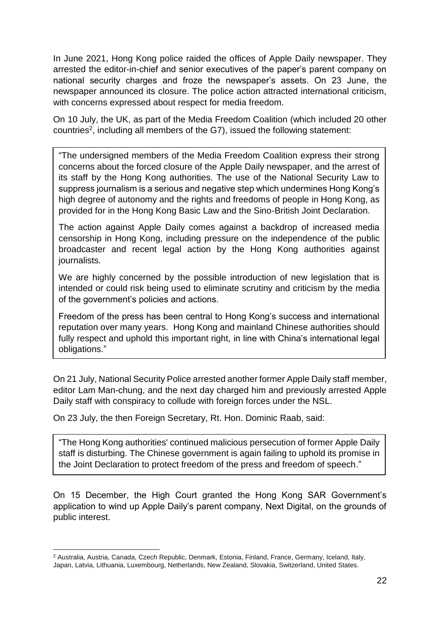In June 2021, Hong Kong police raided the offices of Apple Daily newspaper. They arrested the editor-in-chief and senior executives of the paper's parent company on national security charges and froze the newspaper's assets. On 23 June, the newspaper announced its closure. The police action attracted international criticism, with concerns expressed about respect for media freedom.

On 10 July, the UK, as part of the Media Freedom Coalition (which included 20 other countries<sup>2</sup>, including all members of the G7), issued the following statement:

"The undersigned members of the Media Freedom Coalition express their strong concerns about the forced closure of the Apple Daily newspaper, and the arrest of its staff by the Hong Kong authorities. The use of the National Security Law to suppress journalism is a serious and negative step which undermines Hong Kong's high degree of autonomy and the rights and freedoms of people in Hong Kong, as provided for in the Hong Kong Basic Law and the Sino-British Joint Declaration.

The action against Apple Daily comes against a backdrop of increased media censorship in Hong Kong, including pressure on the independence of the public broadcaster and recent legal action by the Hong Kong authorities against journalists.

We are highly concerned by the possible introduction of new legislation that is intended or could risk being used to eliminate scrutiny and criticism by the media of the government's policies and actions.

Freedom of the press has been central to Hong Kong's success and international reputation over many years. Hong Kong and mainland Chinese authorities should fully respect and uphold this important right, in line with China's international legal obligations."

On 21 July, National Security Police arrested another former Apple Daily staff member, editor Lam Man-chung, and the next day charged him and previously arrested Apple Daily staff with conspiracy to collude with foreign forces under the NSL.

On 23 July, the then Foreign Secretary, Rt. Hon. Dominic Raab, said:

"The Hong Kong authorities' continued malicious persecution of former Apple Daily staff is disturbing. The Chinese government is again failing to uphold its promise in the Joint Declaration to protect freedom of the press and freedom of speech."

On 15 December, the High Court granted the Hong Kong SAR Government's application to wind up Apple Daily's parent company, Next Digital, on the grounds of public interest.

1

<sup>2</sup> Australia, Austria, Canada, Czech Republic, Denmark, Estonia, Finland, France, Germany, Iceland, Italy, Japan, Latvia, Lithuania, Luxembourg, Netherlands, New Zealand, Slovakia, Switzerland, United States.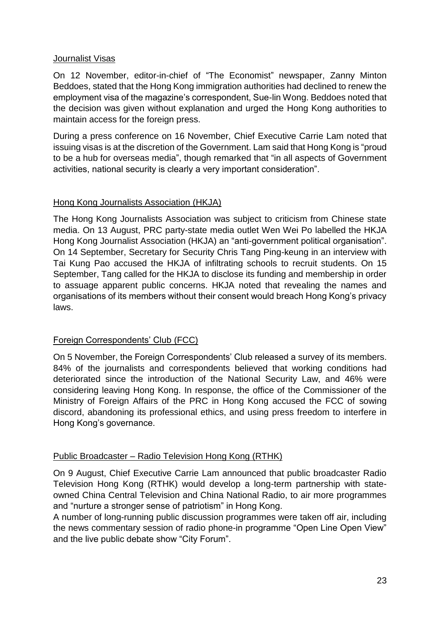#### <span id="page-22-0"></span>Journalist Visas

On 12 November, editor-in-chief of "The Economist" newspaper, Zanny Minton Beddoes, stated that the Hong Kong immigration authorities had declined to renew the employment visa of the magazine's correspondent, Sue-lin Wong. Beddoes noted that the decision was given without explanation and urged the Hong Kong authorities to maintain access for the foreign press.

During a press conference on 16 November, Chief Executive Carrie Lam noted that issuing visas is at the discretion of the Government. Lam said that Hong Kong is "proud to be a hub for overseas media", though remarked that "in all aspects of Government activities, national security is clearly a very important consideration".

## <span id="page-22-1"></span>Hong Kong Journalists Association (HKJA)

The Hong Kong Journalists Association was subject to criticism from Chinese state media. On 13 August, PRC party-state media outlet Wen Wei Po labelled the HKJA Hong Kong Journalist Association (HKJA) an "anti-government political organisation". On 14 September, Secretary for Security Chris Tang Ping-keung in an interview with Tai Kung Pao accused the HKJA of infiltrating schools to recruit students. On 15 September, Tang called for the HKJA to disclose its funding and membership in order to assuage apparent public concerns. HKJA noted that revealing the names and organisations of its members without their consent would breach Hong Kong's privacy laws.

## <span id="page-22-2"></span>Foreign Correspondents' Club (FCC)

On 5 November, the Foreign Correspondents' Club released a survey of its members. 84% of the journalists and correspondents believed that working conditions had deteriorated since the introduction of the National Security Law, and 46% were considering leaving Hong Kong. In response, the office of the Commissioner of the Ministry of Foreign Affairs of the PRC in Hong Kong accused the FCC of sowing discord, abandoning its professional ethics, and using press freedom to interfere in Hong Kong's governance.

## <span id="page-22-3"></span>Public Broadcaster – Radio Television Hong Kong (RTHK)

On 9 August, Chief Executive Carrie Lam announced that public broadcaster Radio Television Hong Kong (RTHK) would develop a long-term partnership with stateowned China Central Television and China National Radio, to air more programmes and "nurture a stronger sense of patriotism" in Hong Kong.

A number of long-running public discussion programmes were taken off air, including the news commentary session of radio phone-in programme "Open Line Open View" and the live public debate show "City Forum".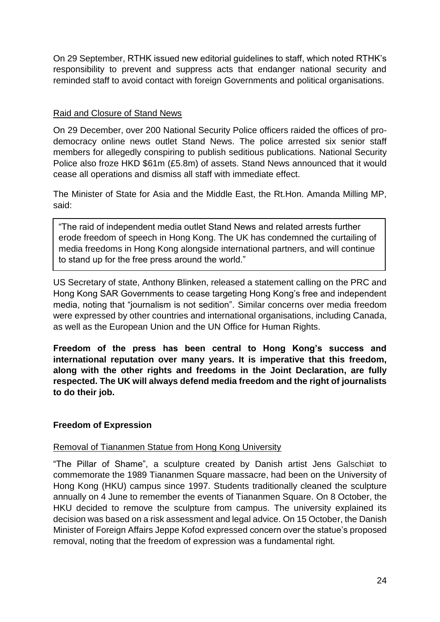On 29 September, RTHK issued new editorial guidelines to staff, which noted RTHK's responsibility to prevent and suppress acts that endanger national security and reminded staff to avoid contact with foreign Governments and political organisations.

#### <span id="page-23-0"></span>Raid and Closure of Stand News

On 29 December, over 200 National Security Police officers raided the offices of prodemocracy online news outlet Stand News. The police arrested six senior staff members for allegedly conspiring to publish seditious publications. National Security Police also froze HKD \$61m (£5.8m) of assets. Stand News announced that it would cease all operations and dismiss all staff with immediate effect.

The Minister of State for Asia and the Middle East, the Rt.Hon. Amanda Milling MP, said:

"The raid of independent media outlet Stand News and related arrests further erode freedom of speech in Hong Kong. The UK has condemned the curtailing of media freedoms in Hong Kong alongside international partners, and will continue to stand up for the free press around the world."

US Secretary of state, Anthony Blinken, released a statement calling on the PRC and Hong Kong SAR Governments to cease targeting Hong Kong's free and independent media, noting that "journalism is not sedition". Similar concerns over media freedom were expressed by other countries and international organisations, including Canada, as well as the European Union and the UN Office for Human Rights.

**Freedom of the press has been central to Hong Kong's success and international reputation over many years. It is imperative that this freedom, along with the other rights and freedoms in the Joint Declaration, are fully respected. The UK will always defend media freedom and the right of journalists to do their job.** 

## <span id="page-23-1"></span>**Freedom of Expression**

#### <span id="page-23-2"></span>Removal of Tiananmen Statue from Hong Kong University

"The Pillar of Shame", a sculpture created by Danish artist Jens Galschiøt to commemorate the 1989 Tiananmen Square massacre, had been on the University of Hong Kong (HKU) campus since 1997. Students traditionally cleaned the sculpture annually on 4 June to remember the events of Tiananmen Square. On 8 October, the HKU decided to remove the sculpture from campus. The university explained its decision was based on a risk assessment and legal advice. On 15 October, the Danish Minister of Foreign Affairs Jeppe Kofod expressed concern over the statue's proposed removal, noting that the freedom of expression was a fundamental right.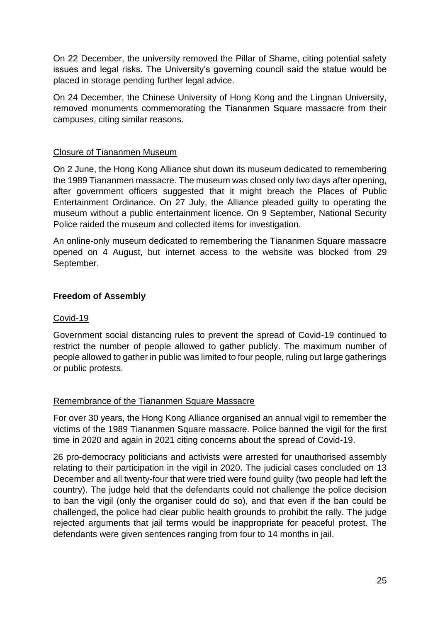On 22 December, the university removed the Pillar of Shame, citing potential safety issues and legal risks. The University's governing council said the statue would be placed in storage pending further legal advice.

On 24 December, the Chinese University of Hong Kong and the Lingnan University, removed monuments commemorating the Tiananmen Square massacre from their campuses, citing similar reasons.

## <span id="page-24-0"></span>Closure of Tiananmen Museum

On 2 June, the Hong Kong Alliance shut down its museum dedicated to remembering the 1989 Tiananmen massacre. The museum was closed only two days after opening, after government officers suggested that it might breach the Places of Public Entertainment Ordinance. On 27 July, the Alliance pleaded guilty to operating the museum without a public entertainment licence. On 9 September, National Security Police raided the museum and collected items for investigation.

An online-only museum dedicated to remembering the Tiananmen Square massacre opened on 4 August, but internet access to the website was blocked from 29 September.

#### <span id="page-24-1"></span>**Freedom of Assembly**

#### <span id="page-24-2"></span>Covid-19

Government social distancing rules to prevent the spread of Covid-19 continued to restrict the number of people allowed to gather publicly. The maximum number of people allowed to gather in public was limited to four people, ruling out large gatherings or public protests.

#### <span id="page-24-3"></span>Remembrance of the Tiananmen Square Massacre

For over 30 years, the Hong Kong Alliance organised an annual vigil to remember the victims of the 1989 Tiananmen Square massacre. Police banned the vigil for the first time in 2020 and again in 2021 citing concerns about the spread of Covid-19.

26 pro-democracy politicians and activists were arrested for unauthorised assembly relating to their participation in the vigil in 2020. The judicial cases concluded on 13 December and all twenty-four that were tried were found guilty (two people had left the country). The judge held that the defendants could not challenge the police decision to ban the vigil (only the organiser could do so), and that even if the ban could be challenged, the police had clear public health grounds to prohibit the rally. The judge rejected arguments that jail terms would be inappropriate for peaceful protest. The defendants were given sentences ranging from four to 14 months in jail.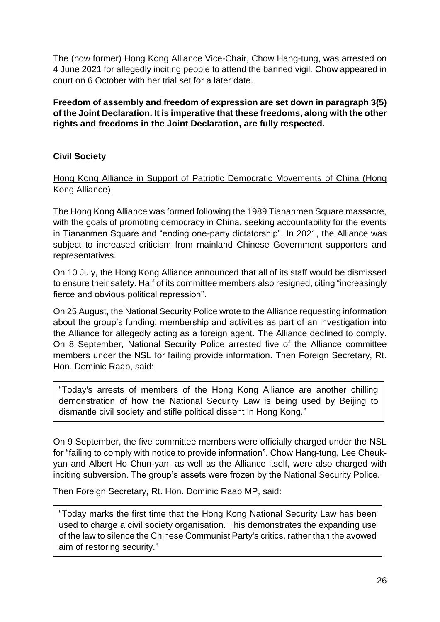The (now former) Hong Kong Alliance Vice-Chair, Chow Hang-tung, was arrested on 4 June 2021 for allegedly inciting people to attend the banned vigil. Chow appeared in court on 6 October with her trial set for a later date.

**Freedom of assembly and freedom of expression are set down in paragraph 3(5) of the Joint Declaration. It is imperative that these freedoms, along with the other rights and freedoms in the Joint Declaration, are fully respected.**

# <span id="page-25-0"></span>**Civil Society**

<span id="page-25-1"></span>Hong Kong Alliance in Support of Patriotic Democratic Movements of China (Hong Kong Alliance)

The Hong Kong Alliance was formed following the 1989 Tiananmen Square massacre, with the goals of promoting democracy in China, seeking accountability for the events in Tiananmen Square and "ending one-party dictatorship". In 2021, the Alliance was subject to increased criticism from mainland Chinese Government supporters and representatives.

On 10 July, the Hong Kong Alliance announced that all of its staff would be dismissed to ensure their safety. Half of its committee members also resigned, citing "increasingly fierce and obvious political repression".

On 25 August, the National Security Police wrote to the Alliance requesting information about the group's funding, membership and activities as part of an investigation into the Alliance for allegedly acting as a foreign agent. The Alliance declined to comply. On 8 September, National Security Police arrested five of the Alliance committee members under the NSL for failing provide information. Then Foreign Secretary, Rt. Hon. Dominic Raab, said:

"Today's arrests of members of the Hong Kong Alliance are another chilling demonstration of how the National Security Law is being used by Beijing to dismantle civil society and stifle political dissent in Hong Kong."

On 9 September, the five committee members were officially charged under the NSL for "failing to comply with notice to provide information". Chow Hang-tung, Lee Cheukyan and Albert Ho Chun-yan, as well as the Alliance itself, were also charged with inciting subversion. The group's assets were frozen by the National Security Police.

Then Foreign Secretary, Rt. Hon. Dominic Raab MP, said:

"Today marks the first time that the Hong Kong National Security Law has been used to charge a civil society organisation. This demonstrates the expanding use of the law to silence the Chinese Communist Party's critics, rather than the avowed aim of restoring security."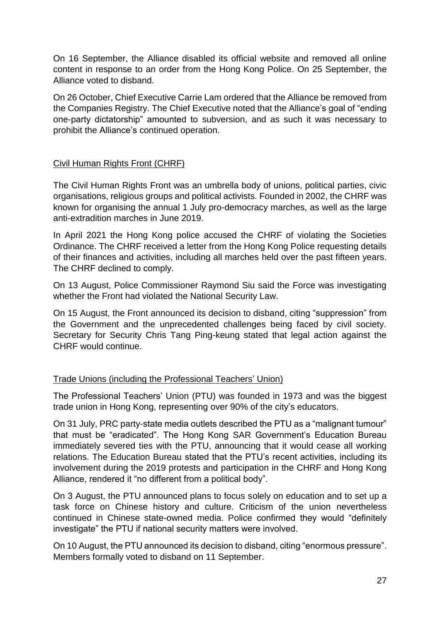On 16 September, the Alliance disabled its official website and removed all online content in response to an order from the Hong Kong Police. On 25 September, the Alliance voted to disband.

On 26 October, Chief Executive Carrie Lam ordered that the Alliance be removed from the Companies Registry. The Chief Executive noted that the Alliance's goal of "ending one-party dictatorship" amounted to subversion, and as such it was necessary to prohibit the Alliance's continued operation.

## <span id="page-26-0"></span>Civil Human Rights Front (CHRF)

The Civil Human Rights Front was an umbrella body of unions, political parties, civic organisations, religious groups and political activists. Founded in 2002, the CHRF was known for organising the annual 1 July pro-democracy marches, as well as the large anti-extradition marches in June 2019.

In April 2021 the Hong Kong police accused the CHRF of violating the Societies Ordinance. The CHRF received a letter from the Hong Kong Police requesting details of their finances and activities, including all marches held over the past fifteen years. The CHRF declined to comply.

On 13 August, Police Commissioner Raymond Siu said the Force was investigating whether the Front had violated the National Security Law.

On 15 August, the Front announced its decision to disband, citing "suppression" from the Government and the unprecedented challenges being faced by civil society. Secretary for Security Chris Tang Ping-keung stated that legal action against the CHRF would continue.

## <span id="page-26-1"></span>Trade Unions (including the Professional Teachers' Union)

The Professional Teachers' Union (PTU) was founded in 1973 and was the biggest trade union in Hong Kong, representing over 90% of the city's educators.

On 31 July, PRC party-state media outlets described the PTU as a "malignant tumour" that must be "eradicated". The Hong Kong SAR Government's Education Bureau immediately severed ties with the PTU, announcing that it would cease all working relations. The Education Bureau stated that the PTU's recent activities, including its involvement during the 2019 protests and participation in the CHRF and Hong Kong Alliance, rendered it "no different from a political body".

On 3 August, the PTU announced plans to focus solely on education and to set up a task force on Chinese history and culture. Criticism of the union nevertheless continued in Chinese state-owned media. Police confirmed they would "definitely investigate" the PTU if national security matters were involved.

On 10 August, the PTU announced its decision to disband, citing "enormous pressure". Members formally voted to disband on 11 September.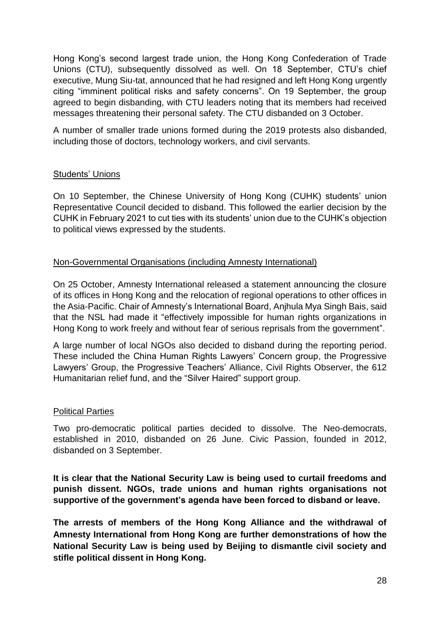Hong Kong's second largest trade union, the Hong Kong Confederation of Trade Unions (CTU), subsequently dissolved as well. On 18 September, CTU's chief executive, Mung Siu-tat, announced that he had resigned and left Hong Kong urgently citing "imminent political risks and safety concerns". On 19 September, the group agreed to begin disbanding, with CTU leaders noting that its members had received messages threatening their personal safety. The CTU disbanded on 3 October.

A number of smaller trade unions formed during the 2019 protests also disbanded, including those of doctors, technology workers, and civil servants.

#### <span id="page-27-0"></span>Students' Unions

On 10 September, the Chinese University of Hong Kong (CUHK) students' union Representative Council decided to disband. This followed the earlier decision by the CUHK in February 2021 to cut ties with its students' union due to the CUHK's objection to political views expressed by the students.

#### <span id="page-27-1"></span>Non-Governmental Organisations (including Amnesty International)

On 25 October, Amnesty International released a statement announcing the closure of its offices in Hong Kong and the relocation of regional operations to other offices in the Asia-Pacific. Chair of Amnesty's International Board, Anjhula Mya Singh Bais, said that the NSL had made it "effectively impossible for human rights organizations in Hong Kong to work freely and without fear of serious reprisals from the government".

A large number of local NGOs also decided to disband during the reporting period. These included the China Human Rights Lawyers' Concern group, the Progressive Lawyers' Group, the Progressive Teachers' Alliance, Civil Rights Observer, the 612 Humanitarian relief fund, and the "Silver Haired" support group.

#### <span id="page-27-2"></span>Political Parties

Two pro-democratic political parties decided to dissolve. The Neo-democrats, established in 2010, disbanded on 26 June. Civic Passion, founded in 2012, disbanded on 3 September.

**It is clear that the National Security Law is being used to curtail freedoms and punish dissent. NGOs, trade unions and human rights organisations not supportive of the government's agenda have been forced to disband or leave.**

**The arrests of members of the Hong Kong Alliance and the withdrawal of Amnesty International from Hong Kong are further demonstrations of how the National Security Law is being used by Beijing to dismantle civil society and stifle political dissent in Hong Kong.**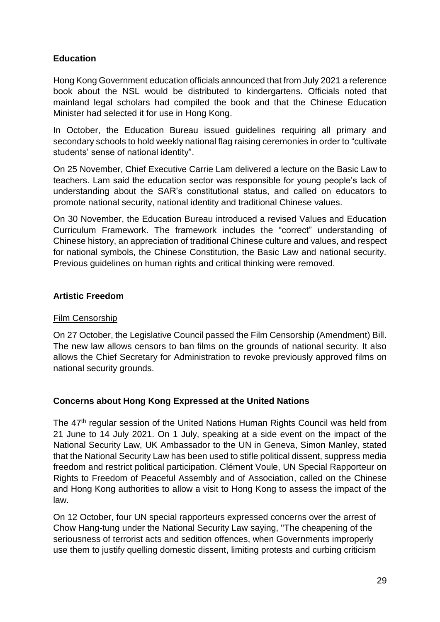# <span id="page-28-0"></span>**Education**

Hong Kong Government education officials announced that from July 2021 a reference book about the NSL would be distributed to kindergartens. Officials noted that mainland legal scholars had compiled the book and that the Chinese Education Minister had selected it for use in Hong Kong.

In October, the Education Bureau issued guidelines requiring all primary and secondary schools to hold weekly national flag raising ceremonies in order to "cultivate students' sense of national identity".

On 25 November, Chief Executive Carrie Lam delivered a lecture on the Basic Law to teachers. Lam said the education sector was responsible for young people's lack of understanding about the SAR's constitutional status, and called on educators to promote national security, national identity and traditional Chinese values.

On 30 November, the Education Bureau introduced a revised Values and Education Curriculum Framework. The framework includes the "correct" understanding of Chinese history, an appreciation of traditional Chinese culture and values, and respect for national symbols, the Chinese Constitution, the Basic Law and national security. Previous guidelines on human rights and critical thinking were removed.

## <span id="page-28-1"></span>**Artistic Freedom**

## Film Censorship

On 27 October, the Legislative Council passed the Film Censorship (Amendment) Bill. The new law allows censors to ban films on the grounds of national security. It also allows the Chief Secretary for Administration to revoke previously approved films on national security grounds.

## <span id="page-28-2"></span>**Concerns about Hong Kong Expressed at the United Nations**

The 47<sup>th</sup> regular session of the United Nations Human Rights Council was held from 21 June to 14 July 2021. On 1 July, speaking at a side event on the impact of the National Security Law, UK Ambassador to the UN in Geneva, Simon Manley, stated that the National Security Law has been used to stifle political dissent, suppress media freedom and restrict political participation. Clément Voule, UN Special Rapporteur on Rights to Freedom of Peaceful Assembly and of Association, called on the Chinese and Hong Kong authorities to allow a visit to Hong Kong to assess the impact of the law.

On 12 October, four UN special rapporteurs expressed concerns over the arrest of Chow Hang-tung under the National Security Law saying, "The cheapening of the seriousness of terrorist acts and sedition offences, when Governments improperly use them to justify quelling domestic dissent, limiting protests and curbing criticism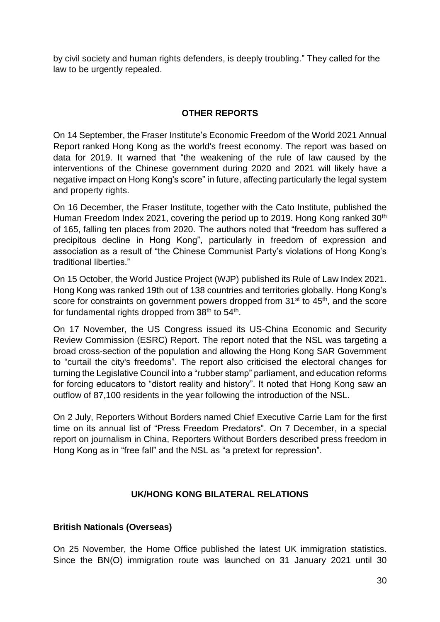by civil society and human rights defenders, is deeply troubling." They called for the law to be urgently repealed.

## **OTHER REPORTS**

<span id="page-29-0"></span>On 14 September, the Fraser Institute's Economic Freedom of the World 2021 Annual Report ranked Hong Kong as the world's freest economy. The report was based on data for 2019. It warned that "the weakening of the rule of law caused by the interventions of the Chinese government during 2020 and 2021 will likely have a negative impact on Hong Kong's score" in future, affecting particularly the legal system and property rights.

On 16 December, the Fraser Institute, together with the Cato Institute, published the Human Freedom Index 2021, covering the period up to 2019. Hong Kong ranked 30<sup>th</sup> of 165, falling ten places from 2020. The authors noted that "freedom has suffered a precipitous decline in Hong Kong", particularly in freedom of expression and association as a result of "the Chinese Communist Party's violations of Hong Kong's traditional liberties."

On 15 October, the World Justice Project (WJP) published its Rule of Law Index 2021. Hong Kong was ranked 19th out of 138 countries and territories globally. Hong Kong's score for constraints on government powers dropped from 31<sup>st</sup> to 45<sup>th</sup>, and the score for fundamental rights dropped from 38<sup>th</sup> to 54<sup>th</sup>.

On 17 November, the US Congress issued its US-China Economic and Security Review Commission (ESRC) Report. The report noted that the NSL was targeting a broad cross-section of the population and allowing the Hong Kong SAR Government to "curtail the city's freedoms". The report also criticised the electoral changes for turning the Legislative Council into a "rubber stamp" parliament, and education reforms for forcing educators to "distort reality and history". It noted that Hong Kong saw an outflow of 87,100 residents in the year following the introduction of the NSL.

On 2 July, Reporters Without Borders named Chief Executive Carrie Lam for the first time on its annual list of "Press Freedom Predators". On 7 December, in a special report on journalism in China, Reporters Without Borders described press freedom in Hong Kong as in "free fall" and the NSL as "a pretext for repression".

## **UK/HONG KONG BILATERAL RELATIONS**

## <span id="page-29-2"></span><span id="page-29-1"></span>**British Nationals (Overseas)**

On 25 November, the Home Office published the latest UK immigration statistics. Since the BN(O) immigration route was launched on 31 January 2021 until 30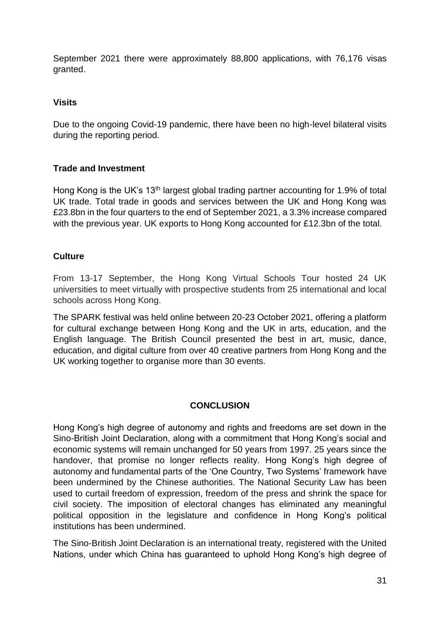September 2021 there were approximately 88,800 applications, with 76,176 visas granted.

## <span id="page-30-0"></span>**Visits**

Due to the ongoing Covid-19 pandemic, there have been no high-level bilateral visits during the reporting period.

# <span id="page-30-1"></span>**Trade and Investment**

Hong Kong is the UK's 13th largest global trading partner accounting for 1.9% of total UK trade. Total trade in goods and services between the UK and Hong Kong was £23.8bn in the four quarters to the end of September 2021, a 3.3% increase compared with the previous year. UK exports to Hong Kong accounted for £12.3bn of the total.

# <span id="page-30-2"></span>**Culture**

From 13-17 September, the Hong Kong Virtual Schools Tour hosted 24 UK universities to meet virtually with prospective students from 25 international and local schools across Hong Kong.

The SPARK festival was held online between 20-23 October 2021, offering a platform for cultural exchange between Hong Kong and the UK in arts, education, and the English language. The British Council presented the best in art, music, dance, education, and digital culture from over 40 creative partners from Hong Kong and the UK working together to organise more than 30 events.

# **CONCLUSION**

<span id="page-30-3"></span>Hong Kong's high degree of autonomy and rights and freedoms are set down in the Sino-British Joint Declaration, along with a commitment that Hong Kong's social and economic systems will remain unchanged for 50 years from 1997. 25 years since the handover, that promise no longer reflects reality. Hong Kong's high degree of autonomy and fundamental parts of the 'One Country, Two Systems' framework have been undermined by the Chinese authorities. The National Security Law has been used to curtail freedom of expression, freedom of the press and shrink the space for civil society. The imposition of electoral changes has eliminated any meaningful political opposition in the legislature and confidence in Hong Kong's political institutions has been undermined.

The Sino-British Joint Declaration is an international treaty, registered with the United Nations, under which China has guaranteed to uphold Hong Kong's high degree of